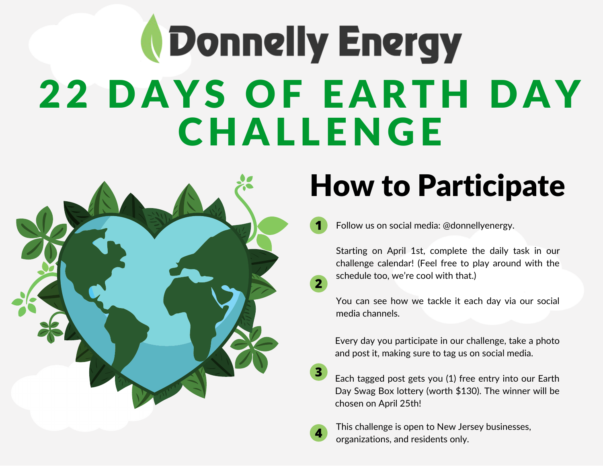## *<u>NDonnelly Energy</u>* 22 DAYS OF EARTH DAY **CHALLENGE**



### How to Participate

**1** Follow us on social media: @donnellyenergy.

Starting on April 1st, complete the daily task in our challenge calendar! (Feel free to play around with the schedule too, we're cool with that.)

You can see how we tackle it each day via our social media channels.

Every day you participate in our challenge, take a photo and post it, making sure to tag us on social media.

Each tagged post gets you (1) free entry into our Earth Day Swag Box lottery (worth \$130). The winner will be chosen on April 25th!



**3**

**2**

This challenge is open to New Jersey businesses, organizations, and residents only.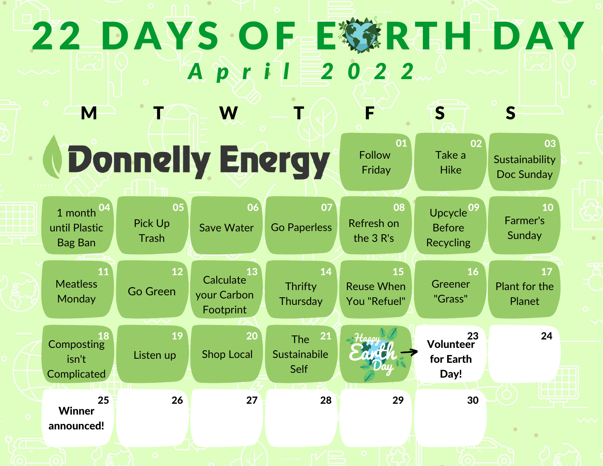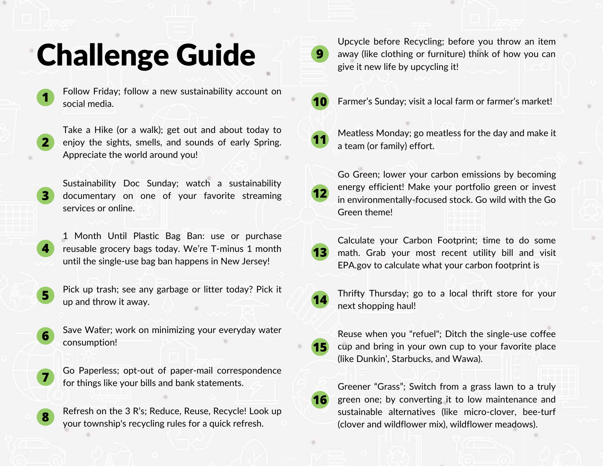#### Challenge Guide

**1**

**4**

**7**

**8**

Follow Friday; follow a new sustainability account on social media.

**2** Take a Hike (or a walk); get out and about today to enjoy the sights, smells, and sounds of early Spring. Appreciate the world around you!

**3** Sustainability Doc Sunday; watch a sustainability documentary on one of your favorite streaming services or online.

1 Month Until Plastic Bag Ban: use or purchase reusable grocery bags today. We're T-minus 1 month until the single-use bag ban happens in New Jersey!

**5** Pick up trash; see any garbage or litter today? Pick it up and throw it away.

**6** Save Water; work on minimizing your everyday water consumption!

Go Paperless; opt-out of paper-mail correspondence for things like your bills and bank statements.

Refresh on the 3 R's; Reduce, Reuse, Recycle! Look up your township's recycling rules for a quick refresh.

Upcycle before Recycling; before you throw an item away (like clothing or furniture) think of how you can give it new life by upcycling it!



**9**

Farmer's Sunday; visit a local farm or farmer's market!

**11**

Meatless Monday; go meatless for the day and make it a team (or family) effort.

**12** Go Green; lower your carbon emissions by becoming energy efficient! Make your portfolio green or invest in environmentally-focused stock. Go wild with the Go Green theme!

**13**

Calculate your Carbon Footprint; time to do some math. Grab your most recent utility bill and visit [E](https://www3.epa.gov/carbon-footprint-calculator/)PA.gov to calculate what your carbon footprint is



**15**

Thrifty Thursday; go to a local thrift store for your next shopping haul!

Reuse when you "refuel"; Ditch the single-use coffee cup and bring in your own cup to your favorite place (like Dunkin', Starbucks, and Wawa).

**16**

Greener "Grass"; Switch from a grass lawn to a truly green one; by converting it to low maintenance and sustainable alternatives (like micro-clover, bee-turf (clover and wildflower mix), wildflower meadows).